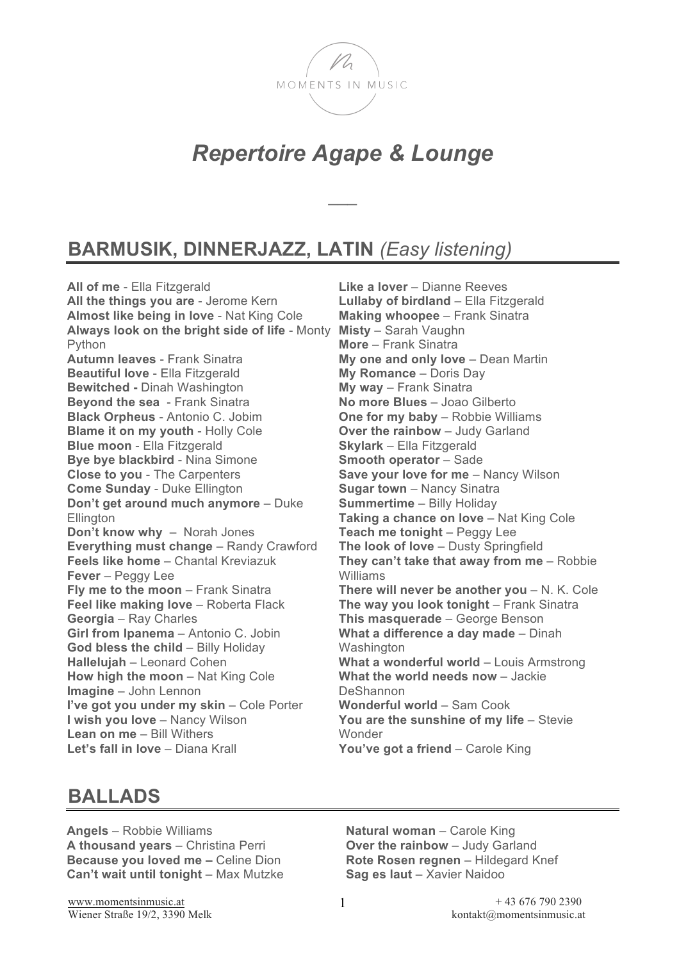

# *Repertoire Agape & Lounge*

 $\overline{\phantom{a}}$ 

## **BARMUSIK, DINNERJAZZ, LATIN** *(Easy listening)*

**All of me** - Ella Fitzgerald **All the things you are** - Jerome Kern **Almost like being in love** - Nat King Cole **Always look on the bright side of life** - Monty Python **Autumn leaves** - Frank Sinatra **Beautiful love** - Ella Fitzgerald **Bewitched -** Dinah Washington **Beyond the sea** - Frank Sinatra **Black Orpheus** - Antonio C. Jobim **Blame it on my youth - Holly Cole Blue moon** - Ella Fitzgerald **Bye bye blackbird** - Nina Simone **Close to you** - The Carpenters **Come Sunday** - Duke Ellington **Don't get around much anymore** – Duke **Ellington Don't know why** – Norah Jones **Everything must change** – Randy Crawford **Feels like home** – Chantal Kreviazuk **Fever** – Peggy Lee **Fly me to the moon** - Frank Sinatra **Feel like making love - Roberta Flack Georgia** – Ray Charles **Girl from Ipanema** – Antonio C. Jobin **God bless the child - Billy Holiday Hallelujah** – Leonard Cohen **How high the moon** – Nat King Cole **Imagine** – John Lennon **I've got you under my skin – Cole Porter I wish you love** – Nancy Wilson **Lean on me** – Bill Withers **Let's fall in love** – Diana Krall

**Like a lover** – Dianne Reeves **Lullaby of birdland** – Ella Fitzgerald **Making whoopee** – Frank Sinatra **Misty** – Sarah Vaughn **More** – Frank Sinatra **My one and only love** – Dean Martin **My Romance** – Doris Day **My way** – Frank Sinatra **No more Blues** – Joao Gilberto **One for my baby** – Robbie Williams **Over the rainbow** – Judy Garland **Skylark** – Ella Fitzgerald **Smooth operator – Sade Save your love for me - Nancy Wilson Sugar town** – Nancy Sinatra **Summertime** – Billy Holiday Taking a chance on love - Nat King Cole **Teach me tonight** – Peggy Lee **The look of love** – Dusty Springfield **They can't take that away from me** – Robbie Williams **There will never be another you - N. K. Cole The way you look tonight** – Frank Sinatra **This masquerade** – George Benson **What a difference a day made** – Dinah **Washington What a wonderful world – Louis Armstrong What the world needs now** – Jackie **DeShannon Wonderful world** – Sam Cook **You are the sunshine of my life** – Stevie Wonder **You've got a friend** – Carole King

#### **BALLADS**

**Angels** – Robbie Williams **A thousand years** – Christina Perri **Because you loved me –** Celine Dion **Can't wait until tonight** – Max Mutzke

**Natural woman** – Carole King **Over the rainbow** – Judy Garland **Rote Rosen regnen** – Hildegard Knef **Sag es laut** – Xavier Naidoo

Wiener Straße 19/2, 3390 Melk kontakt@momentsinmusic.at

www.momentsinmusic.at  $+ 436767902390$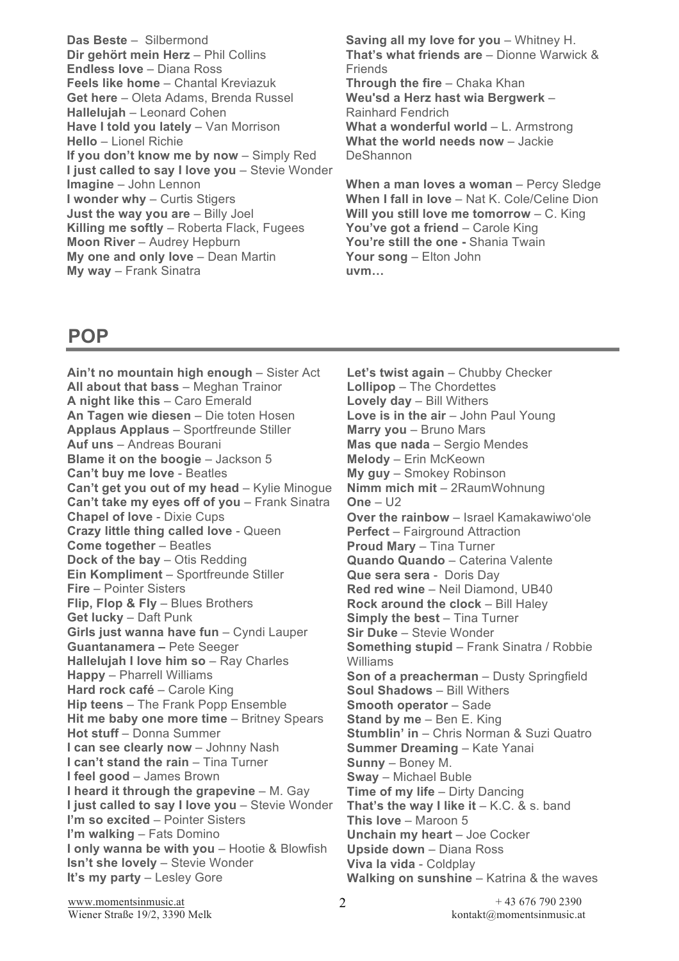**Das Beste** – Silbermond **Dir gehört mein Herz** – Phil Collins **Endless love** – Diana Ross **Feels like home** – Chantal Kreviazuk **Get here** – Oleta Adams, Brenda Russel **Hallelujah** – Leonard Cohen **Have I told you lately - Van Morrison Hello** – Lionel Richie **If you don't know me by now** – Simply Red **I just called to say I love you** – Stevie Wonder **Imagine** – John Lennon **I wonder why** – Curtis Stigers **Just the way you are** – Billy Joel **Killing me softly** – Roberta Flack, Fugees **Moon River** – Audrey Hepburn **My one and only love** – Dean Martin **My way** – Frank Sinatra

**Saving all my love for you** – Whitney H. **That's what friends are** – Dionne Warwick & **Friends Through the fire** – Chaka Khan **Weu'sd a Herz hast wia Bergwerk** – Rainhard Fendrich What a wonderful world - L. Armstrong **What the world needs now** – Jackie DeShannon

**When a man loves a woman** – Percy Sledge **When I fall in love** – Nat K. Cole/Celine Dion **Will you still love me tomorrow** – C. King **You've got a friend** – Carole King **You're still the one -** Shania Twain **Your song** – Elton John **uvm…**

### **POP**

**Ain't no mountain high enough** – Sister Act **All about that bass** – Meghan Trainor **A night like this** – Caro Emerald **An Tagen wie diesen** – Die toten Hosen **Applaus Applaus** – Sportfreunde Stiller **Auf uns** – Andreas Bourani **Blame it on the boogie - Jackson 5 Can't buy me love** - Beatles **Can't get you out of my head** – Kylie Minogue **Can't take my eyes off of you - Frank Sinatra Chapel of love** - Dixie Cups **Crazy little thing called love** - Queen **Come together** – Beatles **Dock of the bay** – Otis Redding **Ein Kompliment** – Sportfreunde Stiller **Fire** – Pointer Sisters **Flip, Flop & Fly** – Blues Brothers **Get lucky** – Daft Punk **Girls just wanna have fun** – Cyndi Lauper **Guantanamera –** Pete Seeger **Hallelujah I love him so - Ray Charles Happy** – Pharrell Williams **Hard rock café** – Carole King **Hip teens** – The Frank Popp Ensemble **Hit me baby one more time - Britney Spears Hot stuff** – Donna Summer **I can see clearly now - Johnny Nash I can't stand the rain - Tina Turner I feel good** – James Brown **I heard it through the grapevine – M. Gay I just called to say I love you** – Stevie Wonder **I'm so excited – Pointer Sisters I'm walking** – Fats Domino **I only wanna be with you** – Hootie & Blowfish **Isn't she lovely** - Stevie Wonder **It's my party – Lesley Gore** 

Let's twist again - Chubby Checker **Lollipop** – The Chordettes **Lovely day** – Bill Withers Love is in the air - John Paul Young **Marry you - Bruno Mars Mas que nada** – Sergio Mendes **Melody** – Erin McKeown **My guy** – Smokey Robinson **Nimm mich mit** – 2RaumWohnung **One** – U2 **Over the rainbow** – Israel Kamakawiwoʻole **Perfect** – Fairground Attraction **Proud Mary** – Tina Turner **Quando Quando** – Caterina Valente **Que sera sera** - Doris Day **Red red wine** – Neil Diamond, UB40 **Rock around the clock** – Bill Haley **Simply the best – Tina Turner Sir Duke** – Stevie Wonder **Something stupid** – Frank Sinatra / Robbie Williams **Son of a preacherman** – Dusty Springfield **Soul Shadows** – Bill Withers **Smooth operator** – Sade **Stand by me - Ben E. King Stumblin' in** – Chris Norman & Suzi Quatro **Summer Dreaming - Kate Yanai Sunny** – Boney M. **Sway** – Michael Buble **Time of my life** – Dirty Dancing **That's the way I like it** – K.C. & s. band **This love** – Maroon 5 **Unchain my heart - Joe Cocker Upside down** – Diana Ross **Viva la vida** - Coldplay **Walking on sunshine** – Katrina & the waves